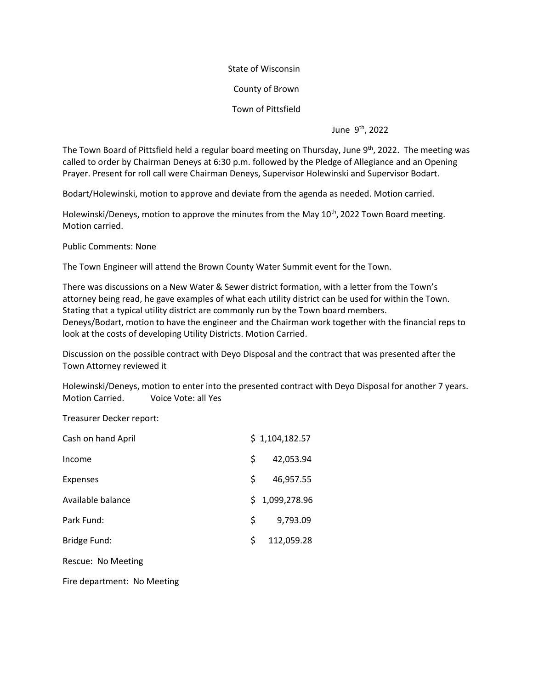State of Wisconsin

County of Brown

Town of Pittsfield

June 9<sup>th</sup>, 2022

The Town Board of Pittsfield held a regular board meeting on Thursday, June 9<sup>th</sup>, 2022. The meeting was called to order by Chairman Deneys at 6:30 p.m. followed by the Pledge of Allegiance and an Opening Prayer. Present for roll call were Chairman Deneys, Supervisor Holewinski and Supervisor Bodart.

Bodart/Holewinski, motion to approve and deviate from the agenda as needed. Motion carried.

Holewinski/Deneys, motion to approve the minutes from the May 10<sup>th</sup>, 2022 Town Board meeting. Motion carried.

Public Comments: None

The Town Engineer will attend the Brown County Water Summit event for the Town.

There was discussions on a New Water & Sewer district formation, with a letter from the Town's attorney being read, he gave examples of what each utility district can be used for within the Town. Stating that a typical utility district are commonly run by the Town board members. Deneys/Bodart, motion to have the engineer and the Chairman work together with the financial reps to look at the costs of developing Utility Districts. Motion Carried.

Discussion on the possible contract with Deyo Disposal and the contract that was presented after the Town Attorney reviewed it

Holewinski/Deneys, motion to enter into the presented contract with Deyo Disposal for another 7 years. Motion Carried. Voice Vote: all Yes

Treasurer Decker report:

| Cash on hand April |    | \$1,104,182.57 |
|--------------------|----|----------------|
| Income             | Š. | 42,053.94      |
| <b>Expenses</b>    | S. | 46,957.55      |
| Available balance  |    | \$1,099,278.96 |
| Park Fund:         | S. | 9,793.09       |
| Bridge Fund:       | Ś. | 112,059.28     |
|                    |    |                |

Rescue: No Meeting

Fire department: No Meeting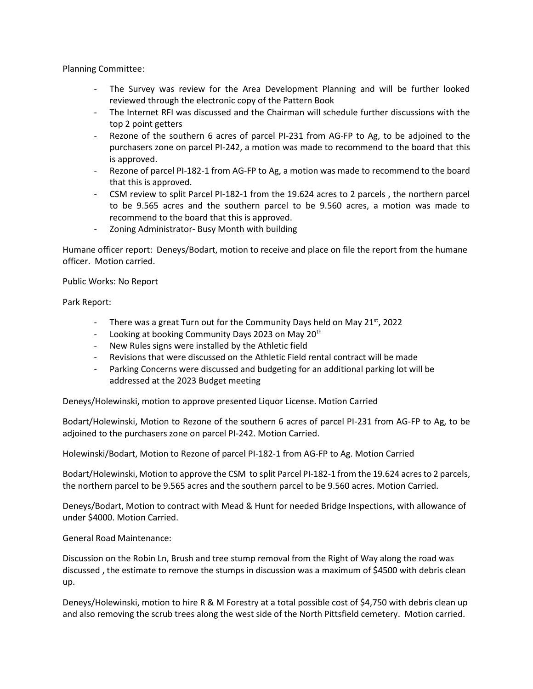Planning Committee:

- The Survey was review for the Area Development Planning and will be further looked reviewed through the electronic copy of the Pattern Book
- The Internet RFI was discussed and the Chairman will schedule further discussions with the top 2 point getters
- Rezone of the southern 6 acres of parcel PI-231 from AG-FP to Ag, to be adjoined to the purchasers zone on parcel PI-242, a motion was made to recommend to the board that this is approved.
- Rezone of parcel PI-182-1 from AG-FP to Ag, a motion was made to recommend to the board that this is approved.
- CSM review to split Parcel PI-182-1 from the 19.624 acres to 2 parcels , the northern parcel to be 9.565 acres and the southern parcel to be 9.560 acres, a motion was made to recommend to the board that this is approved.
- Zoning Administrator- Busy Month with building

Humane officer report: Deneys/Bodart, motion to receive and place on file the report from the humane officer. Motion carried.

Public Works: No Report

Park Report:

- There was a great Turn out for the Community Days held on May  $21^{st}$ , 2022
- Looking at booking Community Days 2023 on May 20<sup>th</sup>
- New Rules signs were installed by the Athletic field
- Revisions that were discussed on the Athletic Field rental contract will be made
- Parking Concerns were discussed and budgeting for an additional parking lot will be addressed at the 2023 Budget meeting

Deneys/Holewinski, motion to approve presented Liquor License. Motion Carried

Bodart/Holewinski, Motion to Rezone of the southern 6 acres of parcel PI-231 from AG-FP to Ag, to be adjoined to the purchasers zone on parcel PI-242. Motion Carried.

Holewinski/Bodart, Motion to Rezone of parcel PI-182-1 from AG-FP to Ag. Motion Carried

Bodart/Holewinski, Motion to approve the CSM to split Parcel PI-182-1 from the 19.624 acres to 2 parcels, the northern parcel to be 9.565 acres and the southern parcel to be 9.560 acres. Motion Carried.

Deneys/Bodart, Motion to contract with Mead & Hunt for needed Bridge Inspections, with allowance of under \$4000. Motion Carried.

General Road Maintenance:

Discussion on the Robin Ln, Brush and tree stump removal from the Right of Way along the road was discussed , the estimate to remove the stumps in discussion was a maximum of \$4500 with debris clean up.

Deneys/Holewinski, motion to hire R & M Forestry at a total possible cost of \$4,750 with debris clean up and also removing the scrub trees along the west side of the North Pittsfield cemetery. Motion carried.